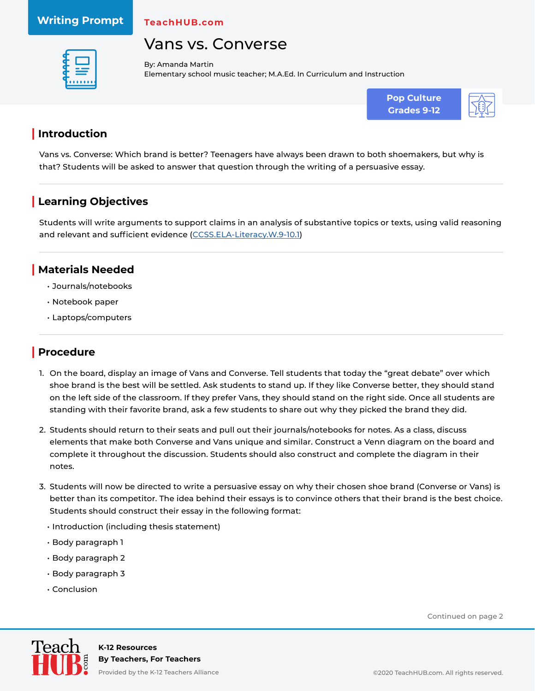#### **Writing Prompt**

**TeachHUB.com**

## Vans vs. Converse



By: Amanda Martin Elementary school music teacher; M.A.Ed. In Curriculum and Instruction



### **| Introduction**

Vans vs. Converse: Which brand is better? Teenagers have always been drawn to both shoemakers, but why is that? Students will be asked to answer that question through the writing of a persuasive essay.

## **| Learning Objectives**

Students will write arguments to support claims in an analysis of substantive topics or texts, using valid reasoning and relevant and sufficient evidence ([CCSS.ELA-Literacy.W.9-10.1](http://www.corestandards.org/ELA-Literacy/W/9-10/1/))

#### **| Materials Needed**

- Journals/notebooks
- Notebook paper
- Laptops/computers

### **| Procedure**

- 1. On the board, display an image of Vans and Converse. Tell students that today the "great debate" over which shoe brand is the best will be settled. Ask students to stand up. If they like Converse better, they should stand on the left side of the classroom. If they prefer Vans, they should stand on the right side. Once all students are standing with their favorite brand, ask a few students to share out why they picked the brand they did.
- 2. Students should return to their seats and pull out their journals/notebooks for notes. As a class, discuss elements that make both Converse and Vans unique and similar. Construct a Venn diagram on the board and complete it throughout the discussion. Students should also construct and complete the diagram in their notes.
- 3. Students will now be directed to write a persuasive essay on why their chosen shoe brand (Converse or Vans) is better than its competitor. The idea behind their essays is to convince others that their brand is the best choice. Students should construct their essay in the following format:
	- Introduction (including thesis statement)
	- Body paragraph 1
	- Body paragraph 2
	- Body paragraph 3
	- Conclusion

Continued on page 2



**K-12 Resources By Teachers, For Teachers**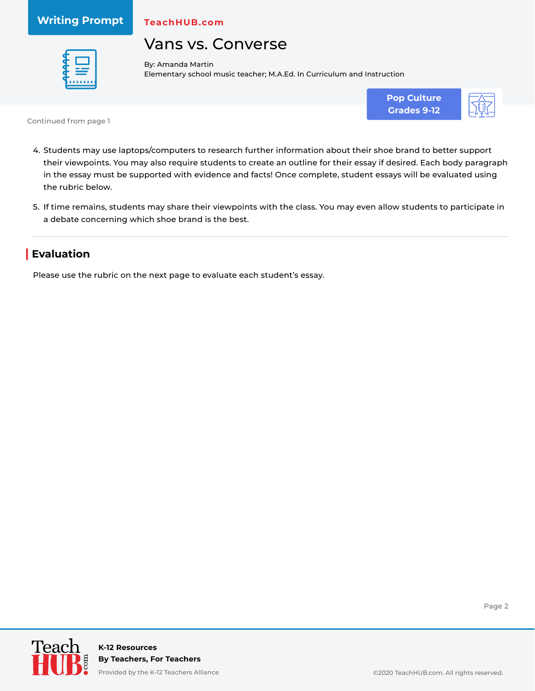**Writing Prompt**

**TeachHUB.com**

# Vans vs. Converse



By: Amanda Martin Elementary school music teacher; M.A.Ed. In Curriculum and Instruction





Continued from page 1

- 4. Students may use laptops/computers to research further information about their shoe brand to better support their viewpoints. You may also require students to create an outline for their essay if desired. Each body paragraph in the essay must be supported with evidence and facts! Once complete, student essays will be evaluated using the rubric below.
- 5. If time remains, students may share their viewpoints with the class. You may even allow students to participate in a debate concerning which shoe brand is the best.

## **| Evaluation**

Please use the rubric on the next page to evaluate each student's essay.



Page 2